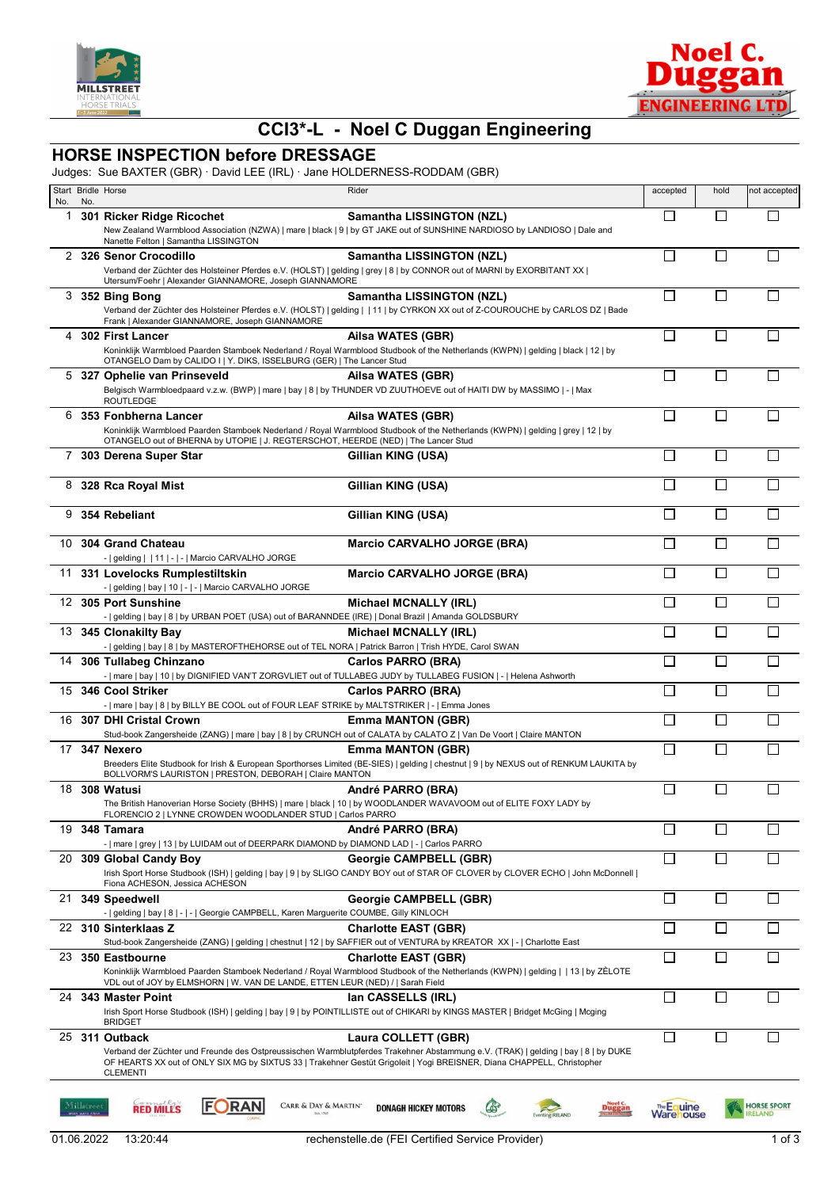



# **CCI3\*-L - Noel C Duggan Engineering**

### **HORSE INSPECTION before DRESSAGE**

Judges: Sue BAXTER (GBR) · David LEE (IRL) · Jane HOLDERNESS-RODDAM (GBR)

| No.        | Start Bridle Horse<br>No. |                                                                                                                                                                                                                                            | Rider                                                                                                                                                                                                                                                                               | accepted                             | hold                        | not accepted                 |
|------------|---------------------------|--------------------------------------------------------------------------------------------------------------------------------------------------------------------------------------------------------------------------------------------|-------------------------------------------------------------------------------------------------------------------------------------------------------------------------------------------------------------------------------------------------------------------------------------|--------------------------------------|-----------------------------|------------------------------|
| 1          |                           | 301 Ricker Ridge Ricochet<br>Nanette Felton   Samantha LISSINGTON                                                                                                                                                                          | <b>Samantha LISSINGTON (NZL)</b><br>New Zealand Warmblood Association (NZWA)   mare   black   9   by GT JAKE out of SUNSHINE NARDIOSO by LANDIOSO   Dale and                                                                                                                        | $\mathbf{I}$                         | П                           |                              |
|            |                           | 2 326 Senor Crocodillo<br>Utersum/Foehr   Alexander GIANNAMORE, Joseph GIANNAMORE                                                                                                                                                          | Samantha LISSINGTON (NZL)<br>Verband der Züchter des Holsteiner Pferdes e.V. (HOLST)   gelding   grey   8   by CONNOR out of MARNI by EXORBITANT XX                                                                                                                                 | П                                    | $\mathsf{L}$                |                              |
|            |                           | 3 352 Bing Bong<br>Frank   Alexander GIANNAMORE, Joseph GIANNAMORE                                                                                                                                                                         | <b>Samantha LISSINGTON (NZL)</b><br>Verband der Züchter des Holsteiner Pferdes e.V. (HOLST)   gelding     11   by CYRKON XX out of Z-COUROUCHE by CARLOS DZ   Bade                                                                                                                  | □                                    | $\Box$                      |                              |
| 4          |                           | 302 First Lancer<br>OTANGELO Dam by CALIDO I   Y. DIKS, ISSELBURG (GER)   The Lancer Stud                                                                                                                                                  | Ailsa WATES (GBR)<br>Koninklijk Warmbloed Paarden Stamboek Nederland / Royal Warmblood Studbook of the Netherlands (KWPN)   gelding   black   12   by                                                                                                                               | П                                    | П                           |                              |
|            |                           | 5 327 Ophelie van Prinseveld<br><b>ROUTLEDGE</b>                                                                                                                                                                                           | Ailsa WATES (GBR)<br>Belgisch Warmbloedpaard v.z.w. (BWP)   mare   bay   8   by THUNDER VD ZUUTHOEVE out of HAITI DW by MASSIMO   -   Max                                                                                                                                           | П                                    | П                           |                              |
| 6          |                           | 353 Fonbherna Lancer<br>OTANGELO out of BHERNA by UTOPIE   J. REGTERSCHOT, HEERDE (NED)   The Lancer Stud                                                                                                                                  | Ailsa WATES (GBR)<br>Koninklijk Warmbloed Paarden Stamboek Nederland / Royal Warmblood Studbook of the Netherlands (KWPN)   gelding   grey   12   by                                                                                                                                | $\Box$                               |                             |                              |
| 7          |                           | 303 Derena Super Star                                                                                                                                                                                                                      | Gillian KING (USA)                                                                                                                                                                                                                                                                  | П                                    | $\Box$                      |                              |
|            |                           | 8 328 Rca Royal Mist                                                                                                                                                                                                                       | Gillian KING (USA)                                                                                                                                                                                                                                                                  | $\Box$                               | $\Box$                      |                              |
| 9          |                           | 354 Rebeliant                                                                                                                                                                                                                              | Gillian KING (USA)                                                                                                                                                                                                                                                                  | П                                    | П                           |                              |
|            |                           | 10 304 Grand Chateau<br>-   gelding     11   -   -   Marcio CARVALHO JORGE                                                                                                                                                                 | <b>Marcio CARVALHO JORGE (BRA)</b>                                                                                                                                                                                                                                                  | $\mathsf{L}$                         | $\Box$                      |                              |
| 11         |                           | 331 Lovelocks Rumplestiltskin<br>-   gelding   bay   10   -   -   Marcio CARVALHO JORGE                                                                                                                                                    | <b>Marcio CARVALHO JORGE (BRA)</b>                                                                                                                                                                                                                                                  | П                                    | П                           |                              |
|            |                           | 12 305 Port Sunshine                                                                                                                                                                                                                       | <b>Michael MCNALLY (IRL)</b>                                                                                                                                                                                                                                                        | П                                    | $\Box$                      |                              |
|            |                           | -   gelding   bay   8   by URBAN POET (USA) out of BARANNDEE (IRE)   Donal Brazil   Amanda GOLDSBURY<br>13 345 Clonakilty Bay<br>-   gelding   bay   8   by MASTEROFTHEHORSE out of TEL NORA   Patrick Barron   Trish HYDE, Carol SWAN     | Michael MCNALLY (IRL)                                                                                                                                                                                                                                                               | П                                    | П                           |                              |
|            |                           | 14 306 Tullabeg Chinzano                                                                                                                                                                                                                   | Carlos PARRO (BRA)                                                                                                                                                                                                                                                                  | $\mathbb{R}^n$                       | П                           |                              |
|            |                           | -   mare   bay   10   by DIGNIFIED VAN'T ZORGVLIET out of TULLABEG JUDY by TULLABEG FUSION   -   Helena Ashworth<br>15 346 Cool Striker<br>-   mare   bay   8   by BILLY BE COOL out of FOUR LEAF STRIKE by MALTSTRIKER   -   Emma Jones   | Carlos PARRO (BRA)                                                                                                                                                                                                                                                                  | П                                    | Г                           |                              |
|            |                           | 16 307 DHI Cristal Crown<br>Stud-book Zangersheide (ZANG)   mare   bay   8   by CRUNCH out of CALATA by CALATO Z   Van De Voort   Claire MANTON                                                                                            | <b>Emma MANTON (GBR)</b>                                                                                                                                                                                                                                                            | H                                    |                             |                              |
|            |                           | 17 347 Nexero<br>BOLLVORM'S LAURISTON   PRESTON, DEBORAH   Claire MANTON                                                                                                                                                                   | <b>Emma MANTON (GBR)</b><br>Breeders Elite Studbook for Irish & European Sporthorses Limited (BE-SIES)   gelding   chestnut   9   by NEXUS out of RENKUM LAUKITA by                                                                                                                 | П                                    |                             |                              |
|            |                           | 18 308 Watusi<br>FLORENCIO 2   LYNNE CROWDEN WOODLANDER STUD   Carlos PARRO                                                                                                                                                                | André PARRO (BRA)<br>The British Hanoverian Horse Society (BHHS)   mare   black   10   by WOODLANDER WAVAVOOM out of ELITE FOXY LADY by                                                                                                                                             | $\mathsf{I}$                         |                             |                              |
|            |                           | 19 348 Tamara                                                                                                                                                                                                                              | André PARRO (BRA)                                                                                                                                                                                                                                                                   | $\mathbb{R}^n$                       |                             |                              |
|            |                           | -   mare   grey   13   by LUIDAM out of DEERPARK DIAMOND by DIAMOND LAD   -   Carlos PARRO<br>20 309 Global Candy Boy<br>Fiona ACHESON, Jessica ACHESON                                                                                    | Georgie CAMPBELL (GBR)<br>Irish Sport Horse Studbook (ISH)   gelding   bay   9   by SLIGO CANDY BOY out of STAR OF CLOVER by CLOVER ECHO   John McDonnell                                                                                                                           | П                                    | П                           |                              |
|            |                           | 21 349 Speedwell                                                                                                                                                                                                                           | Georgie CAMPBELL (GBR)                                                                                                                                                                                                                                                              | $\Box$                               | $\mathcal{L}_{\mathcal{A}}$ |                              |
|            |                           | -   gelding   bay   8   -   -   Georgie CAMPBELL, Karen Marguerite COUMBE, Gilly KINLOCH<br>22 310 Sinterklaas Z<br>Stud-book Zangersheide (ZANG)   gelding   chestnut   12   by SAFFIER out of VENTURA by KREATOR XX   -   Charlotte East | <b>Charlotte EAST (GBR)</b>                                                                                                                                                                                                                                                         | П                                    | Г                           |                              |
|            |                           | 23 350 Eastbourne<br>VDL out of JOY by ELMSHORN   W. VAN DE LANDE, ETTEN LEUR (NED) /   Sarah Field                                                                                                                                        | <b>Charlotte EAST (GBR)</b><br>Koninklijk Warmbloed Paarden Stamboek Nederland / Royal Warmblood Studbook of the Netherlands (KWPN)   gelding     13   by ZELOTE                                                                                                                    | $\mathbb{R}^n$                       |                             |                              |
|            |                           | 24 343 Master Point<br><b>BRIDGET</b>                                                                                                                                                                                                      | lan CASSELLS (IRL)<br>Irish Sport Horse Studbook (ISH)   gelding   bay   9   by POINTILLISTE out of CHIKARI by KINGS MASTER   Bridget McGing   Mcging                                                                                                                               | □                                    | П                           |                              |
|            |                           | 25 311 Outback<br><b>CLEMENTI</b>                                                                                                                                                                                                          | Laura COLLETT (GBR)<br>Verband der Züchter und Freunde des Ostpreussischen Warmblutpferdes Trakehner Abstammung e.V. (TRAK)   gelding   bay   8   by DUKE<br>OF HEARTS XX out of ONLY SIX MG by SIXTUS 33   Trakehner Gestüt Grigoleit   Yogi BREISNER, Diana CHAPPELL, Christopher | П                                    |                             |                              |
|            | Milløtreet                | <b>RED MILLS</b><br>CARR & DAY & MARTIN'                                                                                                                                                                                                   | <b>DONAGH HICKEY MOTORS</b><br>کھا                                                                                                                                                                                                                                                  | re Equine<br>Ware <mark>nouse</mark> |                             | <b>HORSE SPORT</b><br>RELAND |
| 01.06.2022 |                           | 13:20:44                                                                                                                                                                                                                                   | rechenstelle.de (FEI Certified Service Provider)                                                                                                                                                                                                                                    |                                      |                             | $1$ of $3$                   |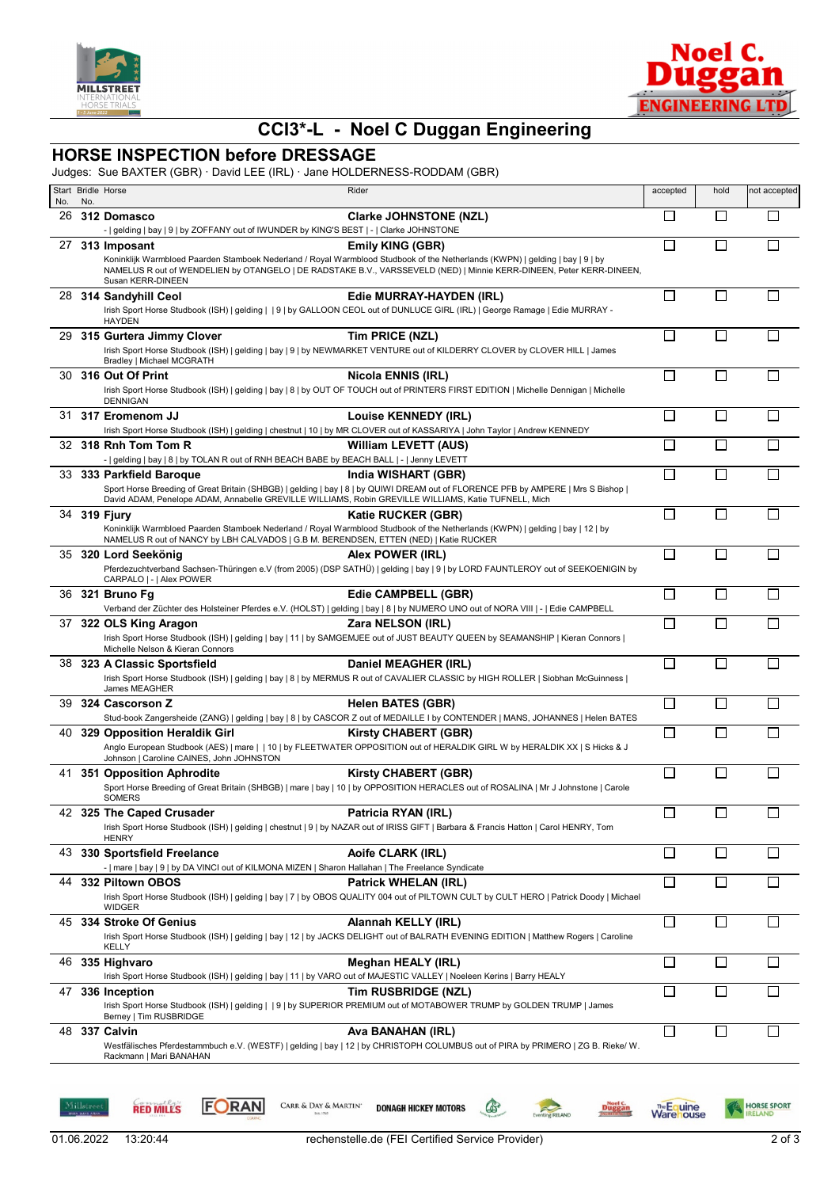



# **CCI3\*-L - Noel C Duggan Engineering**

### **HORSE INSPECTION before DRESSAGE**

Judges: Sue BAXTER (GBR) · David LEE (IRL) · Jane HOLDERNESS-RODDAM (GBR)

|     | Start Bridle Horse |                                                                                                                                                                                                                               | Rider                                                                                                                                                                                                                                                                            | accepted     | hold         | not accepted |
|-----|--------------------|-------------------------------------------------------------------------------------------------------------------------------------------------------------------------------------------------------------------------------|----------------------------------------------------------------------------------------------------------------------------------------------------------------------------------------------------------------------------------------------------------------------------------|--------------|--------------|--------------|
| No. | No.                | 26 312 Domasco                                                                                                                                                                                                                | <b>Clarke JOHNSTONE (NZL)</b>                                                                                                                                                                                                                                                    |              | П            |              |
|     |                    | -   gelding   bay   9   by ZOFFANY out of IWUNDER by KING'S BEST   -   Clarke JOHNSTONE                                                                                                                                       |                                                                                                                                                                                                                                                                                  |              |              |              |
|     |                    | 27 313 Imposant<br>Susan KERR-DINEEN                                                                                                                                                                                          | <b>Emily KING (GBR)</b><br>Koninklijk Warmbloed Paarden Stamboek Nederland / Royal Warmblood Studbook of the Netherlands (KWPN)   gelding   bay   9   by<br>NAMELUS R out of WENDELIEN by OTANGELO   DE RADSTAKE B.V., VARSSEVELD (NED)   Minnie KERR-DINEEN, Peter KERR-DINEEN, |              |              |              |
|     |                    | 28 314 Sandyhill Ceol<br><b>HAYDEN</b>                                                                                                                                                                                        | Edie MURRAY-HAYDEN (IRL)<br>Irish Sport Horse Studbook (ISH)   gelding     9   by GALLOON CEOL out of DUNLUCE GIRL (IRL)   George Ramage   Edie MURRAY -                                                                                                                         | $\mathsf{L}$ |              |              |
|     |                    | 29 315 Gurtera Jimmy Clover<br>Bradley   Michael MCGRATH                                                                                                                                                                      | Tim PRICE (NZL)<br>Irish Sport Horse Studbook (ISH)   gelding   bay   9   by NEWMARKET VENTURE out of KILDERRY CLOVER by CLOVER HILL   James                                                                                                                                     | П            | П            |              |
|     |                    | 30 316 Out Of Print                                                                                                                                                                                                           | Nicola ENNIS (IRL)<br>Irish Sport Horse Studbook (ISH)   gelding   bay   8   by OUT OF TOUCH out of PRINTERS FIRST EDITION   Michelle Dennigan   Michelle                                                                                                                        |              | П            |              |
|     |                    | <b>DENNIGAN</b><br>31 317 Eromenom JJ                                                                                                                                                                                         | Louise KENNEDY (IRL)                                                                                                                                                                                                                                                             | Г            | П            |              |
|     |                    | 32 <b>318 Rnh Tom Tom R</b>                                                                                                                                                                                                   | Irish Sport Horse Studbook (ISH)   gelding   chestnut   10   by MR CLOVER out of KASSARIYA   John Taylor   Andrew KENNEDY<br><b>William LEVETT (AUS)</b>                                                                                                                         | Г            | П            |              |
|     |                    | -   gelding   bay   8   by TOLAN R out of RNH BEACH BABE by BEACH BALL   -   Jenny LEVETT<br>33 333 Parkfield Baroque<br>David ADAM, Penelope ADAM, Annabelle GREVILLE WILLIAMS, Robin GREVILLE WILLIAMS, Katie TUFNELL, Mich | India WISHART (GBR)<br>Sport Horse Breeding of Great Britain (SHBGB)   gelding   bay   8   by QUIWI DREAM out of FLORENCE PFB by AMPERE   Mrs S Bishop                                                                                                                           | П            | $\Box$       |              |
|     |                    | 34 319 Fjury<br>NAMELUS R out of NANCY by LBH CALVADOS   G.B M. BERENDSEN, ETTEN (NED)   Katie RUCKER                                                                                                                         | Katie RUCKER (GBR)<br>Koninklijk Warmbloed Paarden Stamboek Nederland / Royal Warmblood Studbook of the Netherlands (KWPN)   gelding   bay   12   by                                                                                                                             |              |              |              |
|     |                    | 35 320 Lord Seekönig<br>CARPALO   -   Alex POWER                                                                                                                                                                              | Alex POWER (IRL)<br>Pferdezuchtverband Sachsen-Thüringen e.V (from 2005) (DSP SATHÜ)   gelding   bay   9   by LORD FAUNTLEROY out of SEEKOENIGIN by                                                                                                                              | П            | $\mathbf{I}$ |              |
|     |                    | 36 <b>321 Bruno Fg</b>                                                                                                                                                                                                        | Edie CAMPBELL (GBR)<br>Verband der Züchter des Holsteiner Pferdes e.V. (HOLST)   gelding   bay   8   by NUMERO UNO out of NORA VIII   -   Edie CAMPBELL                                                                                                                          |              | $\mathsf{L}$ |              |
|     |                    | 37 322 OLS King Aragon<br>Michelle Nelson & Kieran Connors                                                                                                                                                                    | Zara NELSON (IRL)<br>Irish Sport Horse Studbook (ISH)   gelding   bay   11   by SAMGEMJEE out of JUST BEAUTY QUEEN by SEAMANSHIP   Kieran Connors                                                                                                                                | $\mathbf{I}$ |              |              |
|     |                    | 38 323 A Classic Sportsfield<br>James MEAGHER                                                                                                                                                                                 | Daniel MEAGHER (IRL)<br>Irish Sport Horse Studbook (ISH)   gelding   bay   8   by MERMUS R out of CAVALIER CLASSIC by HIGH ROLLER   Siobhan McGuinness                                                                                                                           | Г            |              |              |
|     |                    | 39 324 Cascorson Z                                                                                                                                                                                                            | <b>Helen BATES (GBR)</b><br>Stud-book Zangersheide (ZANG)   gelding   bay   8   by CASCOR Z out of MEDAILLE I by CONTENDER   MANS, JOHANNES   Helen BATES                                                                                                                        | Г            | П            |              |
|     |                    | 40 329 Opposition Heraldik Girl                                                                                                                                                                                               | <b>Kirsty CHABERT (GBR)</b>                                                                                                                                                                                                                                                      | Г            | П            |              |
|     |                    | Johnson   Caroline CAINES, John JOHNSTON                                                                                                                                                                                      | Anglo European Studbook (AES)   mare     10   by FLEETWATER OPPOSITION out of HERALDIK GIRL W by HERALDIK XX   S Hicks & J                                                                                                                                                       |              |              |              |
| 41  |                    | 351 Opposition Aphrodite<br><b>SOMERS</b>                                                                                                                                                                                     | <b>Kirsty CHABERT (GBR)</b><br>Sport Horse Breeding of Great Britain (SHBGB)   mare   bay   10   by OPPOSITION HERACLES out of ROSALINA   Mr J Johnstone   Carole                                                                                                                | $\mathsf{I}$ | $\mathsf{L}$ |              |
|     |                    | 42 325 The Caped Crusader<br><b>HENRY</b>                                                                                                                                                                                     | Patricia RYAN (IRL)<br>Irish Sport Horse Studbook (ISH)   gelding   chestnut   9   by NAZAR out of IRISS GIFT   Barbara & Francis Hatton   Carol HENRY, Tom                                                                                                                      | $\Box$       | $\Box$       |              |
|     |                    | 43 330 Sportsfield Freelance<br>-   mare   bay   9   by DA VINCI out of KILMONA MIZEN   Sharon Hallahan   The Freelance Syndicate                                                                                             | Aoife CLARK (IRL)                                                                                                                                                                                                                                                                | Г            | П            |              |
|     |                    | 44 332 Piltown OBOS<br><b>WIDGER</b>                                                                                                                                                                                          | Patrick WHELAN (IRL)<br>Irish Sport Horse Studbook (ISH)   gelding   bay   7   by OBOS QUALITY 004 out of PILTOWN CULT by CULT HERO   Patrick Doody   Michael                                                                                                                    | $\Box$       | $\mathbf{I}$ |              |
|     |                    | 45 334 Stroke Of Genius<br>KELLY                                                                                                                                                                                              | Alannah KELLY (IRL)<br>Irish Sport Horse Studbook (ISH)   gelding   bay   12   by JACKS DELIGHT out of BALRATH EVENING EDITION   Matthew Rogers   Caroline                                                                                                                       | П            | $\Box$       |              |
|     |                    | 46 335 Highvaro<br>Irish Sport Horse Studbook (ISH)   gelding   bay   11   by VARO out of MAJESTIC VALLEY   Noeleen Kerins   Barry HEALY                                                                                      | <b>Meghan HEALY (IRL)</b>                                                                                                                                                                                                                                                        | $\Box$       | $\Box$       |              |
| 47  |                    | 336 Inception<br>Berney   Tim RUSBRIDGE                                                                                                                                                                                       | <b>Tim RUSBRIDGE (NZL)</b><br>Irish Sport Horse Studbook (ISH)   gelding     9   by SUPERIOR PREMIUM out of MOTABOWER TRUMP by GOLDEN TRUMP   James                                                                                                                              | ┌            | П            |              |
|     |                    | 48   337  Calvin<br>Rackmann   Mari BANAHAN                                                                                                                                                                                   | Ava BANAHAN (IRL)<br>Westfälisches Pferdestammbuch e.V. (WESTF)   gelding   bay   12   by CHRISTOPH COLUMBUS out of PIRA by PRIMERO   ZG B. Rieke/ W.                                                                                                                            |              | $\mathsf{L}$ |              |
|     |                    |                                                                                                                                                                                                                               |                                                                                                                                                                                                                                                                                  |              |              |              |

Millstr

**RED MILLS** 

**FORAN** 

CARR & DAY & MARTIN'

**DONAGH HICKEY MOTORS** 

venting RELAND

**Duggan** 

**Warehouse** 

 $\mathbb{G}$ 

HORSE SPORT